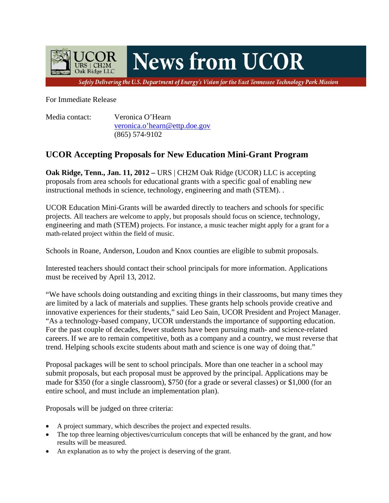

For Immediate Release

Media contact: Veronica O'Hearn [veronica.o'hearn@ettp.doe.gov](mailto:dennis.hill@ettp.doe.gov) (865) 574-9102

## **UCOR Accepting Proposals for New Education Mini-Grant Program**

**Oak Ridge, Tenn., Jan. 11, 2012 – URS** | CH2M Oak Ridge (UCOR) LLC is accepting proposals from area schools for educational grants with a specific goal of enabling new instructional methods in science, technology, engineering and math (STEM). .

UCOR Education Mini-Grants will be awarded directly to teachers and schools for specific projects. All teachers are welcome to apply, but proposals should focus on science, technology, engineering and math (STEM) projects. For instance, a music teacher might apply for a grant for a math-related project within the field of music.

Schools in Roane, Anderson, Loudon and Knox counties are eligible to submit proposals.

Interested teachers should contact their school principals for more information. Applications must be received by April 13, 2012.

"We have schools doing outstanding and exciting things in their classrooms, but many times they are limited by a lack of materials and supplies. These grants help schools provide creative and innovative experiences for their students," said Leo Sain, UCOR President and Project Manager. "As a technology-based company, UCOR understands the importance of supporting education. For the past couple of decades, fewer students have been pursuing math- and science-related careers. If we are to remain competitive, both as a company and a country, we must reverse that trend. Helping schools excite students about math and science is one way of doing that."

Proposal packages will be sent to school principals. More than one teacher in a school may submit proposals, but each proposal must be approved by the principal. Applications may be made for \$350 (for a single classroom), \$750 (for a grade or several classes) or \$1,000 (for an entire school, and must include an implementation plan).

Proposals will be judged on three criteria:

- A project summary, which describes the project and expected results.
- The top three learning objectives/curriculum concepts that will be enhanced by the grant, and how results will be measured.
- An explanation as to why the project is deserving of the grant.